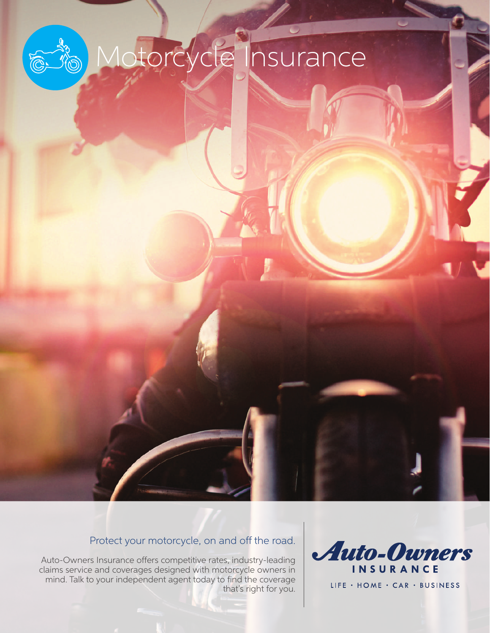# Motorcycle Insurance

# Protect your motorcycle, on and off the road.

Auto-Owners Insurance offers competitive rates, industry-leading claims service and coverages designed with motorcycle owners in mind. Talk to your independent agent today to find the coverage that's right for you.